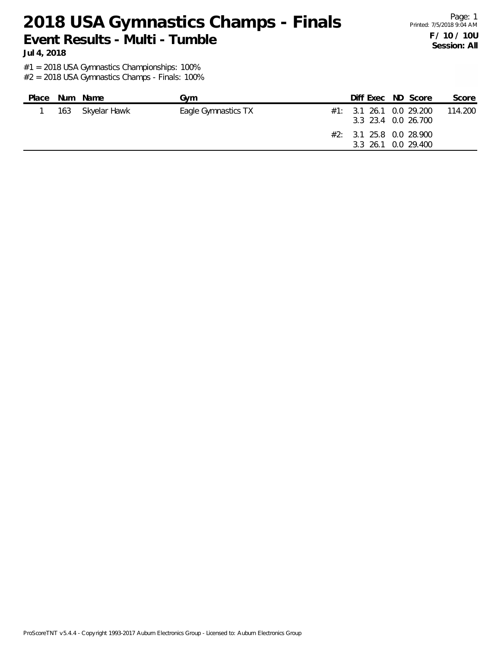Page: 1 Printed: 7/5/2018 9:04 AM **F / 10 / 10U Session: All**

**Jul 4, 2018**

#1 = 2018 USA Gymnastics Championships: 100%

| Place | Num Name         | Gvm                 |  | Diff Exec ND Score                                                                               | Score   |
|-------|------------------|---------------------|--|--------------------------------------------------------------------------------------------------|---------|
|       | 163 Skyelar Hawk | Eagle Gymnastics TX |  | #1: 3.1 26.1 0.0 29.200<br>3.3 23.4 0.0 26.700<br>#2: 3.1 25.8 0.0 28.900<br>3.3 26.1 0.0 29.400 | 114.200 |
|       |                  |                     |  |                                                                                                  |         |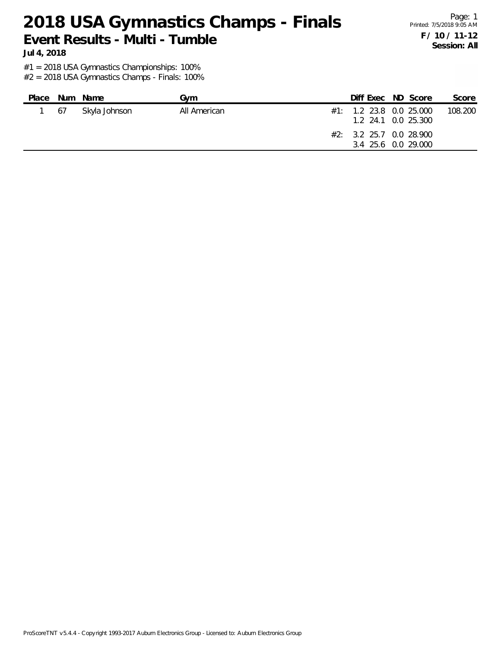Page: 1 Printed: 7/5/2018 9:05 AM **F / 10 / 11-12 Session: All**

**Jul 4, 2018**

#1 = 2018 USA Gymnastics Championships: 100%

| Place |    | Num Name      | Gvm          | Diff Exec ND Score                                                                                 |  | Score   |
|-------|----|---------------|--------------|----------------------------------------------------------------------------------------------------|--|---------|
|       | 67 | Skyla Johnson | All American | $#1:$ 1.2 23.8 0.0 25.000<br>1.2 24.1 0.0 25.300<br>#2: 3.2 25.7 0.0 28.900<br>3.4 25.6 0.0 29.000 |  | 108.200 |
|       |    |               |              |                                                                                                    |  |         |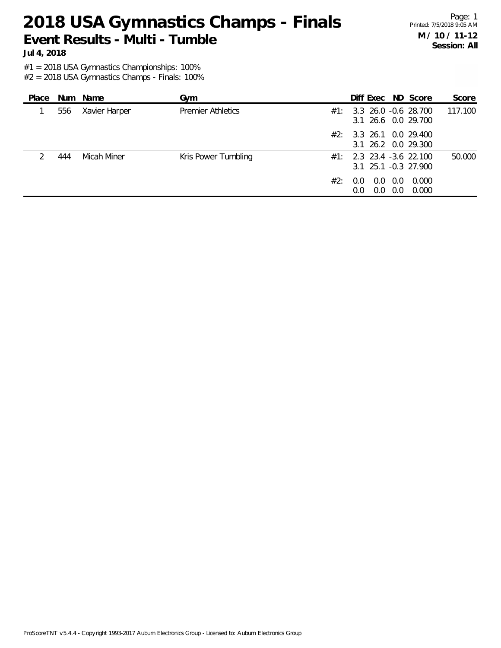Page: 1 Printed: 7/5/2018 9:05 AM **M / 10 / 11-12 Session: All**

**Jul 4, 2018**

#1 = 2018 USA Gymnastics Championships: 100%

| Place |     | Num Name      | Gym                      |     | Diff Exec ND Score                                   |            |                | Score   |
|-------|-----|---------------|--------------------------|-----|------------------------------------------------------|------------|----------------|---------|
|       | 556 | Xavier Harper | <b>Premier Athletics</b> |     | $#1: 3.3$ 26.0 -0.6 28.700<br>3.1 26.6 0.0 29.700    |            |                | 117.100 |
|       |     |               |                          | #2: | 3.3 26.1 0.0 29.400<br>3.1 26.2 0.0 29.300           |            |                |         |
|       | 444 | Micah Miner   | Kris Power Tumbling      | #1: | 2.3 23.4 -3.6 22.100<br>$3.1$ $25.1$ $-0.3$ $27.900$ |            |                | 50.000  |
|       |     |               |                          | #2: | $0.0 \quad 0.0$<br>0.0<br>$0.0^{\circ}$              | 0.0<br>0.0 | 0.000<br>0.000 |         |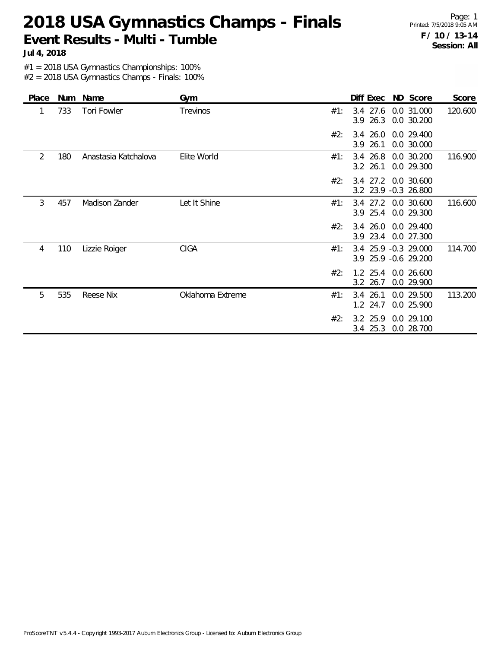Page: 1 Printed: 7/5/2018 9:05 AM **F / 10 / 13-14 Session: All**

**Jul 4, 2018**

#1 = 2018 USA Gymnastics Championships: 100%

| Place | Num | Name                 | Gym              |     | Diff Exec                  | ND Score                                     | Score   |
|-------|-----|----------------------|------------------|-----|----------------------------|----------------------------------------------|---------|
| 1     | 733 | Tori Fowler          | Trevinos         | #1: | 3.4 27.6<br>$3.9$ 26.3     | 0.0 31.000<br>0.0 30.200                     | 120.600 |
|       |     |                      |                  | #2: | $3.4$ 26.0<br>3.9 26.1     | 0.0 29.400<br>0.0 30.000                     |         |
| 2     | 180 | Anastasia Katchalova | Elite World      | #1: | 3.4 26.8<br>$3.2$ 26.1     | 0.0 30.200<br>0.0 29.300                     | 116.900 |
|       |     |                      |                  | #2: |                            | 3.4 27.2 0.0 30.600<br>3.2 23.9 -0.3 26.800  |         |
| 3     | 457 | Madison Zander       | Let It Shine     | #1: | 3.9 25.4                   | 3.4 27.2 0.0 30.600<br>0.0 29.300            | 116.600 |
|       |     |                      |                  | #2: | $3.4\ 26.0$<br>23.4<br>3.9 | 0.0 29.400<br>0.0 27.300                     |         |
| 4     | 110 | Lizzie Roiger        | <b>CIGA</b>      | #1: |                            | 3.4 25.9 -0.3 29.000<br>3.9 25.9 -0.6 29.200 | 114.700 |
|       |     |                      |                  | #2: | $1.2 \, 25.4$<br>3.2 26.7  | 0.0 26.600<br>0.0 29.900                     |         |
| 5     | 535 | <b>Reese Nix</b>     | Oklahoma Extreme | #1: | 3.4 26.1<br>24.7<br>1.2    | 0.0 29.500<br>0.0 25.900                     | 113.200 |
|       |     |                      |                  | #2: | 3.2 25.9<br>3.4 25.3       | 0.0 29.100<br>0.0 28.700                     |         |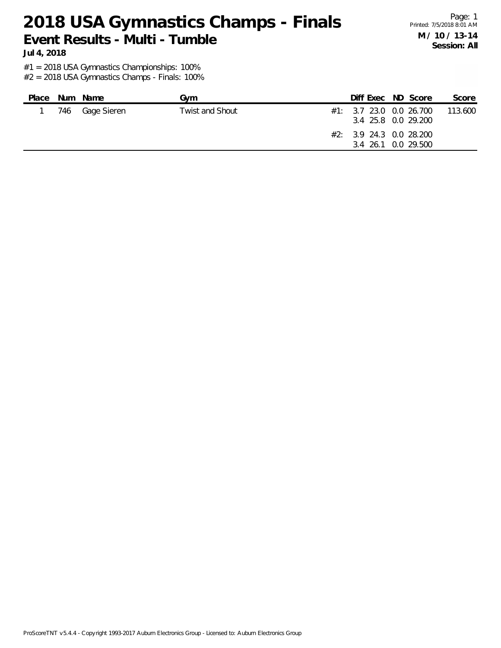Page: 1 Printed: 7/5/2018 8:01 AM **M / 10 / 13-14 Session: All**

**Jul 4, 2018**

#1 = 2018 USA Gymnastics Championships: 100%

| Place | Num Name        | Gvm                    |  | Diff Exec ND Score                                                                                 | Score   |
|-------|-----------------|------------------------|--|----------------------------------------------------------------------------------------------------|---------|
|       | 746 Gage Sieren | <b>Twist and Shout</b> |  | #1: 3.7 23.0 0.0 26.700<br>3.4 25.8 0.0 29.200<br>$#2: 3.9$ 24.3 0.0 28.200<br>3.4 26.1 0.0 29.500 | 113.600 |
|       |                 |                        |  |                                                                                                    |         |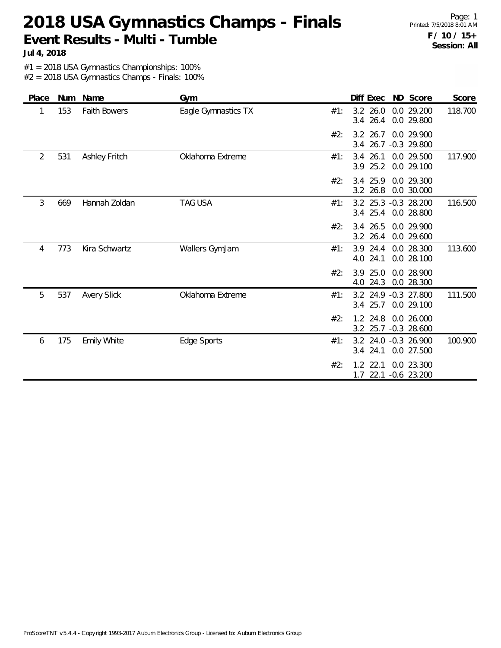Page: 1 Printed: 7/5/2018 8:01 AM **F / 10 / 15+ Session: All**

**Jul 4, 2018**

#1 = 2018 USA Gymnastics Championships: 100%

| Place | Num | Name                 | Gym                 |     | Diff Exec                           | ND Score                    | Score   |
|-------|-----|----------------------|---------------------|-----|-------------------------------------|-----------------------------|---------|
| 1     | 153 | <b>Faith Bowers</b>  | Eagle Gymnastics TX | #1: | $3.2$ 26.0<br>26.4<br>3.4           | 0.0 29.200<br>0.0 29.800    | 118.700 |
|       |     |                      |                     | #2: | 3.2 26.7<br>26.7<br>3.4             | 0.0 29.900<br>$-0.3$ 29.800 |         |
| 2     | 531 | <b>Ashley Fritch</b> | Oklahoma Extreme    | #1: | $3.4$ 26.1<br>25.2<br>3.9           | 0.0 29.500<br>0.0 29.100    | 117.900 |
|       |     |                      |                     | #2: | 3.4 25.9<br>3.2<br>26.8             | 0.0 29.300<br>0.0 30.000    |         |
| 3     | 669 | Hannah Zoldan        | <b>TAG USA</b>      | #1: | 3.2 25.3 -0.3 28.200<br>$3.4$ 25.4  | 0.0 28.800                  | 116.500 |
|       |     |                      |                     | #2: | 3.4 26.5<br>26.4<br>3.2             | 0.0 29.900<br>0.0 29.600    |         |
| 4     | 773 | Kira Schwartz        | Wallers GymJam      | #1: | 24.4<br>3.9<br>4.0 24.1             | 0.0 28.300<br>0.0 28.100    | 113.600 |
|       |     |                      |                     | #2: | 25.0<br>3.9<br>24.3<br>4.0          | 0.0 28.900<br>0.0 28.300    |         |
| 5     | 537 | <b>Avery Slick</b>   | Oklahoma Extreme    | #1: | 3.2 24.9 -0.3 27.800<br>3.4 25.7    | 0.0 29.100                  | 111.500 |
|       |     |                      |                     | #2: | 1.2 24.8<br>3.2 25.7 -0.3 28.600    | 0.0 26.000                  |         |
| 6     | 175 | <b>Emily White</b>   | Edge Sports         | #1: | 3.2 24.0 -0.3 26.900<br>24.1<br>3.4 | 0.0 27.500                  | 100.900 |
|       |     |                      |                     | #2: | $1.2$ 22.1<br>22.1<br>1.7           | 0.0 23.300<br>$-0.6$ 23.200 |         |